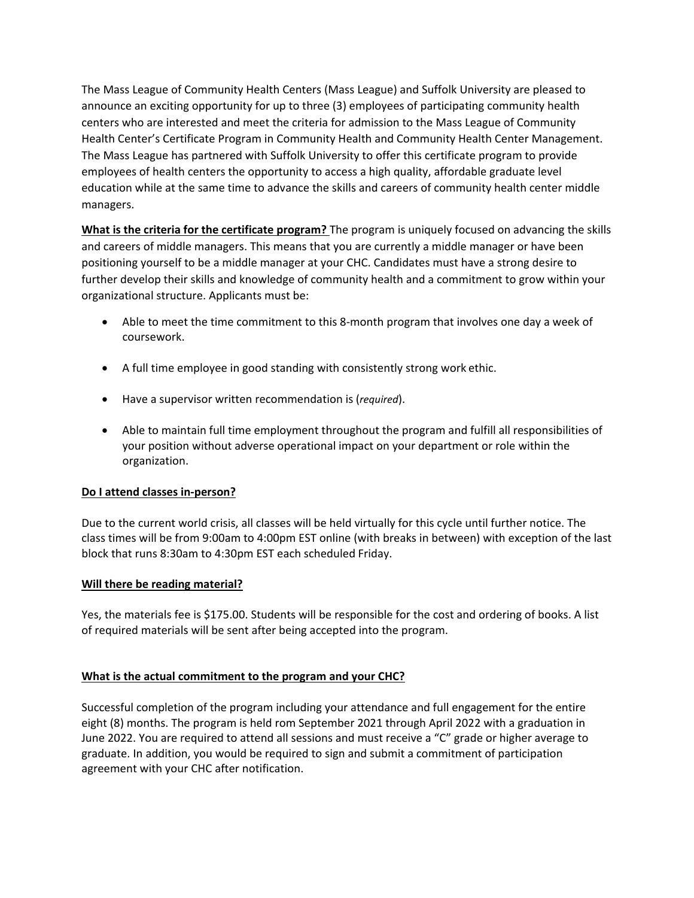The Mass League of Community Health Centers (Mass League) and Suffolk University are pleased to announce an exciting opportunity for up to three (3) employees of participating community health centers who are interested and meet the criteria for admission to the Mass League of Community Health Center's Certificate Program in Community Health and Community Health Center Management. The Mass League has partnered with Suffolk University to offer this certificate program to provide employees of health centers the opportunity to access a high quality, affordable graduate level education while at the same time to advance the skills and careers of community health center middle managers.

**What is the criteria for the certificate program?** The program is uniquely focused on advancing the skills and careers of middle managers. This means that you are currently a middle manager or have been positioning yourself to be a middle manager at your CHC. Candidates must have a strong desire to further develop their skills and knowledge of community health and a commitment to grow within your organizational structure. Applicants must be:

- Able to meet the time commitment to this 8-month program that involves one day a week of coursework.
- A full time employee in good standing with consistently strong work ethic.
- Have a supervisor written recommendation is (*required*).
- Able to maintain full time employment throughout the program and fulfill all responsibilities of your position without adverse operational impact on your department or role within the organization.

# **Do I attend classes in-person?**

Due to the current world crisis, all classes will be held virtually for this cycle until further notice. The class times will be from 9:00am to 4:00pm EST online (with breaks in between) with exception of the last block that runs 8:30am to 4:30pm EST each scheduled Friday.

## **Will there be reading material?**

Yes, the materials fee is \$175.00. Students will be responsible for the cost and ordering of books. A list of required materials will be sent after being accepted into the program.

# **What is the actual commitment to the program and your CHC?**

Successful completion of the program including your attendance and full engagement for the entire eight (8) months. The program is held rom September 2021 through April 2022 with a graduation in June 2022. You are required to attend all sessions and must receive a "C" grade or higher average to graduate. In addition, you would be required to sign and submit a commitment of participation agreement with your CHC after notification.